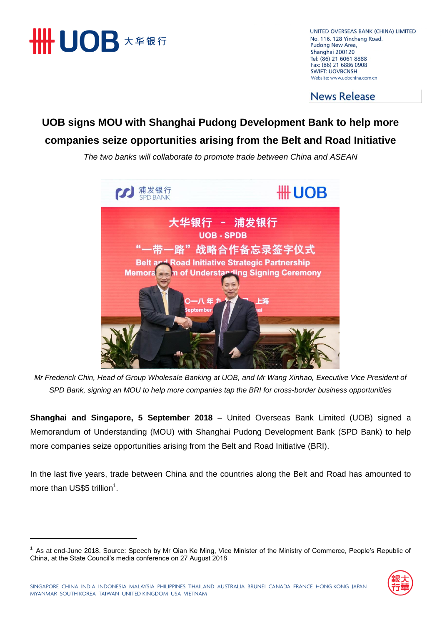

UNITED OVERSEAS BANK (CHINA) LIMITED No. 116, 128 Yincheng Road, Pudong New Area, Shanghai 200120 Tel: (86) 21 6061 8888 Fax: (86) 21 6886 0908 **SWIFT: UOVBCNSH** Website: www.uobchina.com.cn

**News Release** 

## **UOB signs MOU with Shanghai Pudong Development Bank to help more companies seize opportunities arising from the Belt and Road Initiative**

*The two banks will collaborate to promote trade between China and ASEAN*



*Mr Frederick Chin, Head of Group Wholesale Banking at UOB, and Mr Wang Xinhao, Executive Vice President of SPD Bank, signing an MOU to help more companies tap the BRI for cross-border business opportunities*

**Shanghai and Singapore, 5 September 2018** – United Overseas Bank Limited (UOB) signed a Memorandum of Understanding (MOU) with Shanghai Pudong Development Bank (SPD Bank) to help more companies seize opportunities arising from the Belt and Road Initiative (BRI).

In the last five years, trade between China and the countries along the Belt and Road has amounted to more than US\$5 trillion<sup>1</sup>.

<sup>&</sup>lt;sup>1</sup> As at end-June 2018. Source: Speech by Mr Qian Ke Ming, Vice Minister of the Ministry of Commerce, People's Republic of China, at the State Council's media conference on 27 August 2018

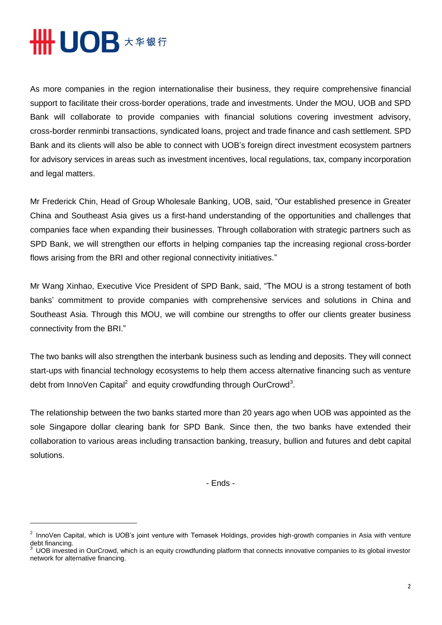## **HHUOB \*\*\*\***

 $\overline{a}$ 

As more companies in the region internationalise their business, they require comprehensive financial support to facilitate their cross-border operations, trade and investments. Under the MOU, UOB and SPD Bank will collaborate to provide companies with financial solutions covering investment advisory, cross-border renminbi transactions, syndicated loans, project and trade finance and cash settlement. SPD Bank and its clients will also be able to connect with UOB's foreign direct investment ecosystem partners for advisory services in areas such as investment incentives, local regulations, tax, company incorporation and legal matters.

Mr Frederick Chin, Head of Group Wholesale Banking, UOB, said, "Our established presence in Greater China and Southeast Asia gives us a first-hand understanding of the opportunities and challenges that companies face when expanding their businesses. Through collaboration with strategic partners such as SPD Bank, we will strengthen our efforts in helping companies tap the increasing regional cross-border flows arising from the BRI and other regional connectivity initiatives."

Mr Wang Xinhao, Executive Vice President of SPD Bank, said, "The MOU is a strong testament of both banks' commitment to provide companies with comprehensive services and solutions in China and Southeast Asia. Through this MOU, we will combine our strengths to offer our clients greater business connectivity from the BRI."

The two banks will also strengthen the interbank business such as lending and deposits. They will connect start-ups with financial technology ecosystems to help them access alternative financing such as venture debt from InnoVen Capital<sup>2</sup> and equity crowdfunding through OurCrowd<sup>3</sup>.

The relationship between the two banks started more than 20 years ago when UOB was appointed as the sole Singapore dollar clearing bank for SPD Bank. Since then, the two banks have extended their collaboration to various areas including transaction banking, treasury, bullion and futures and debt capital solutions.

- Ends -

 $2$  InnoVen Capital, which is UOB's joint venture with Temasek Holdings, provides high-growth companies in Asia with venture debt financing.

<sup>3</sup> UOB invested in OurCrowd, which is an equity crowdfunding platform that connects innovative companies to its global investor network for alternative financing.